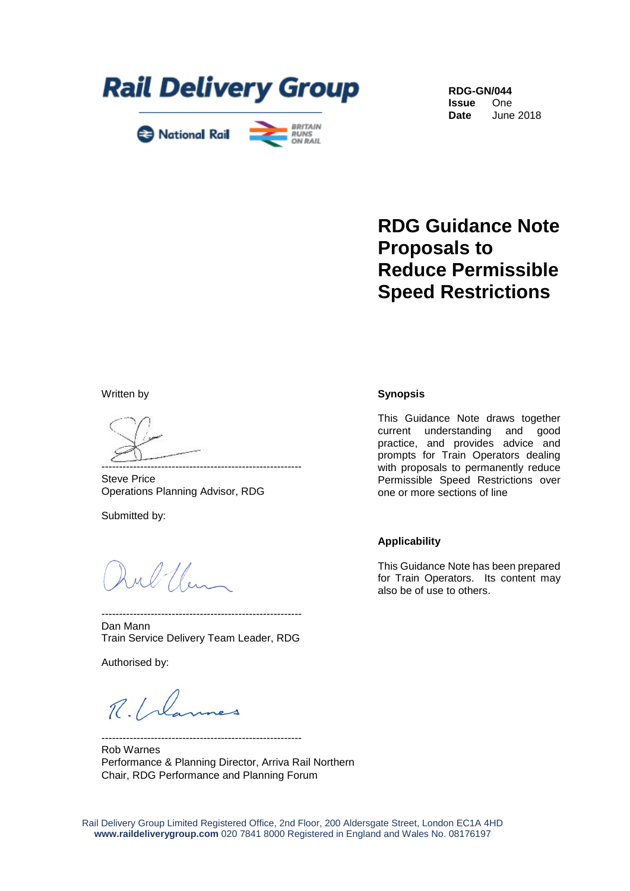



**RDG-GN/044 Issue** One **Date** June 2018

# **RDG Guidance Note Proposals to Reduce Permissible Speed Restrictions**

Written by

--------------------------------------------------------- Steve Price Operations Planning Advisor, RDG

Submitted by:

ul Um

--------------------------------------------------------- Dan Mann Train Service Delivery Team Leader, RDG

Authorised by:

 $R.l.$ 

Rob Warnes Performance & Planning Director, Arriva Rail Northern Chair, RDG Performance and Planning Forum

---------------------------------------------------------

### **Synopsis**

This Guidance Note draws together current understanding and good practice, and provides advice and prompts for Train Operators dealing with proposals to permanently reduce Permissible Speed Restrictions over one or more sections of line

### **Applicability**

This Guidance Note has been prepared for Train Operators. Its content may also be of use to others.

Rail Delivery Group Limited Registered Office, 2nd Floor, 200 Aldersgate Street, London EC1A 4HD **www.raildeliverygroup.com** 020 7841 8000 Registered in England and Wales No. 08176197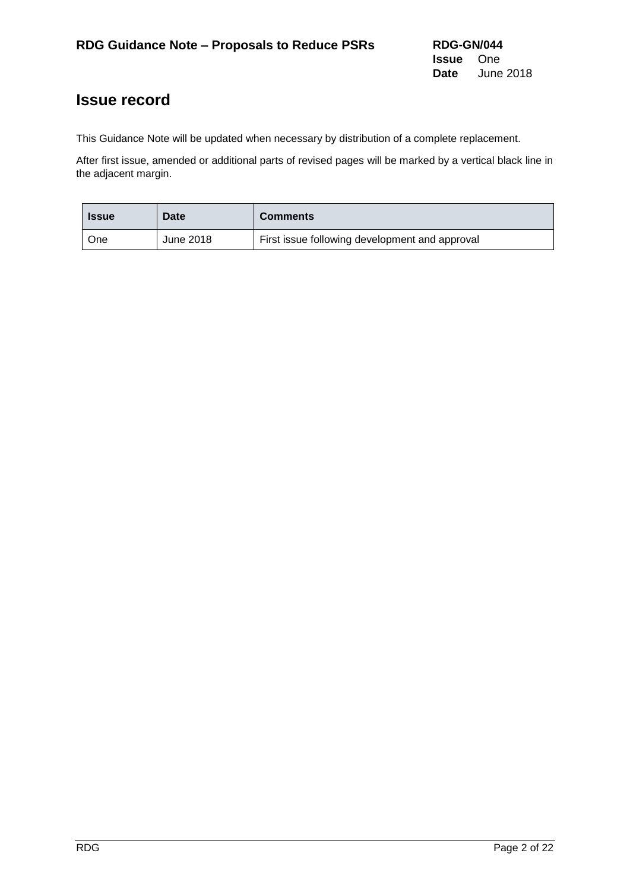## **Issue record**

This Guidance Note will be updated when necessary by distribution of a complete replacement.

After first issue, amended or additional parts of revised pages will be marked by a vertical black line in the adjacent margin.

| <b>Issue</b> | Date      | <b>Comments</b>                                |
|--------------|-----------|------------------------------------------------|
| One          | June 2018 | First issue following development and approval |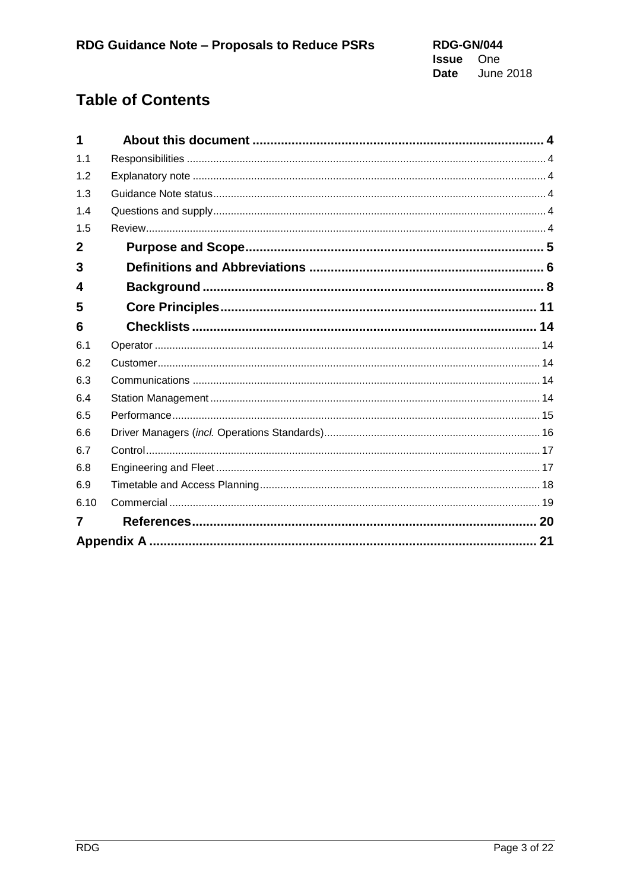# **Table of Contents**

| 1           |    |
|-------------|----|
| 1.1         |    |
| 1.2         |    |
| 1.3         |    |
| 1.4         |    |
| 1.5         |    |
| $\mathbf 2$ |    |
| 3           |    |
| 4           |    |
| 5           |    |
| 6           |    |
| 6.1         |    |
| 6.2         |    |
| 6.3         |    |
| 6.4         |    |
| 6.5         |    |
| 6.6         |    |
| 6.7         |    |
| 6.8         |    |
| 6.9         |    |
| 6.10        |    |
| 7           |    |
|             | 21 |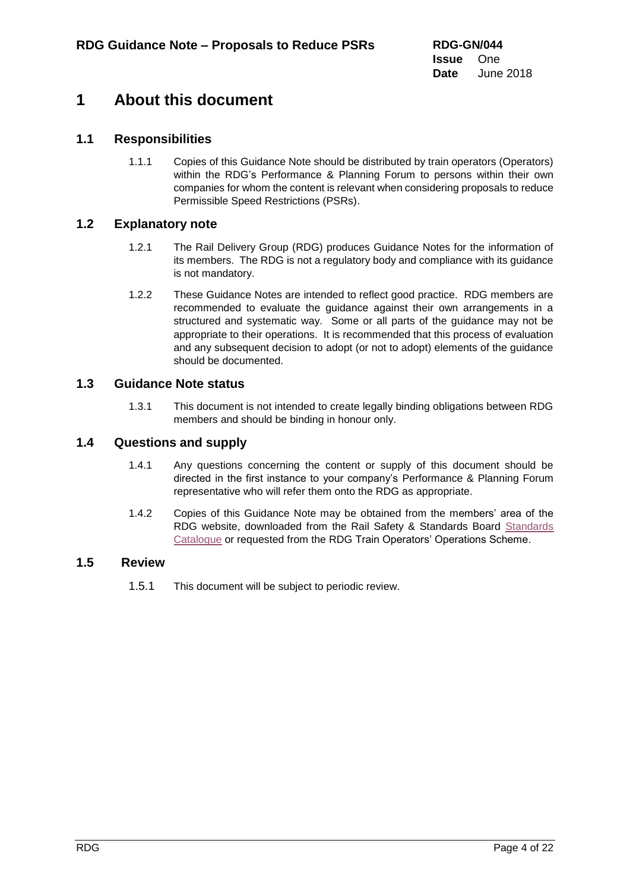## <span id="page-3-0"></span>**1 About this document**

## **1.1 Responsibilities**

<span id="page-3-1"></span>1.1.1 Copies of this Guidance Note should be distributed by train operators (Operators) within the RDG's Performance & Planning Forum to persons within their own companies for whom the content is relevant when considering proposals to reduce Permissible Speed Restrictions (PSRs).

### **1.2 Explanatory note**

- <span id="page-3-2"></span>1.2.1 The Rail Delivery Group (RDG) produces Guidance Notes for the information of its members. The RDG is not a regulatory body and compliance with its guidance is not mandatory.
- 1.2.2 These Guidance Notes are intended to reflect good practice. RDG members are recommended to evaluate the guidance against their own arrangements in a structured and systematic way. Some or all parts of the guidance may not be appropriate to their operations. It is recommended that this process of evaluation and any subsequent decision to adopt (or not to adopt) elements of the guidance should be documented.

### **1.3 Guidance Note status**

<span id="page-3-3"></span>1.3.1 This document is not intended to create legally binding obligations between RDG members and should be binding in honour only.

### **1.4 Questions and supply**

- <span id="page-3-4"></span>1.4.1 Any questions concerning the content or supply of this document should be directed in the first instance to your company's Performance & Planning Forum representative who will refer them onto the RDG as appropriate.
- 1.4.2 Copies of this Guidance Note may be obtained from the members' area of the RDG website, downloaded from the Rail Safety & [Standards](https://www.rssb.co.uk/railway-group-standards#k=(rgsolDocumentNumber%3A%22etcs%22%20OR%20(%20Title%3Aetcs*)%20OR%20(%20rgsolDocumentNumber%3Aetcs*)%20OR%20rgsolDocumentInternalNumber%3A%22etcs*%22)) Board Standards [Catalogue](https://www.rssb.co.uk/railway-group-standards#k=(rgsolDocumentNumber%3A%22etcs%22%20OR%20(%20Title%3Aetcs*)%20OR%20(%20rgsolDocumentNumber%3Aetcs*)%20OR%20rgsolDocumentInternalNumber%3A%22etcs*%22)) or requested from the RDG Train Operators' Operations Scheme.

### <span id="page-3-5"></span>**1.5 Review**

1.5.1 This document will be subject to periodic review.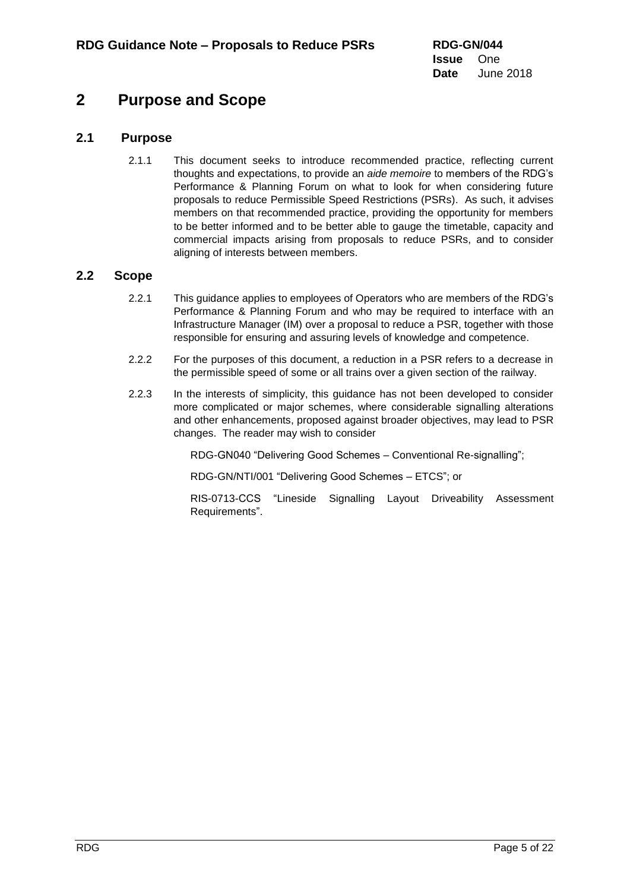## <span id="page-4-0"></span>**2 Purpose and Scope**

## **2.1 Purpose**

2.1.1 This document seeks to introduce recommended practice, reflecting current thoughts and expectations, to provide an *aide memoire* to members of the RDG's Performance & Planning Forum on what to look for when considering future proposals to reduce Permissible Speed Restrictions (PSRs). As such, it advises members on that recommended practice, providing the opportunity for members to be better informed and to be better able to gauge the timetable, capacity and commercial impacts arising from proposals to reduce PSRs, and to consider aligning of interests between members.

### **2.2 Scope**

- 2.2.1 This guidance applies to employees of Operators who are members of the RDG's Performance & Planning Forum and who may be required to interface with an Infrastructure Manager (IM) over a proposal to reduce a PSR, together with those responsible for ensuring and assuring levels of knowledge and competence.
- 2.2.2 For the purposes of this document, a reduction in a PSR refers to a decrease in the permissible speed of some or all trains over a given section of the railway.
- 2.2.3 In the interests of simplicity, this guidance has not been developed to consider more complicated or major schemes, where considerable signalling alterations and other enhancements, proposed against broader objectives, may lead to PSR changes. The reader may wish to consider

RDG-GN040 "Delivering Good Schemes – Conventional Re-signalling";

RDG-GN/NTI/001 "Delivering Good Schemes – ETCS"; or

RIS-0713-CCS "Lineside Signalling Layout Driveability Assessment Requirements".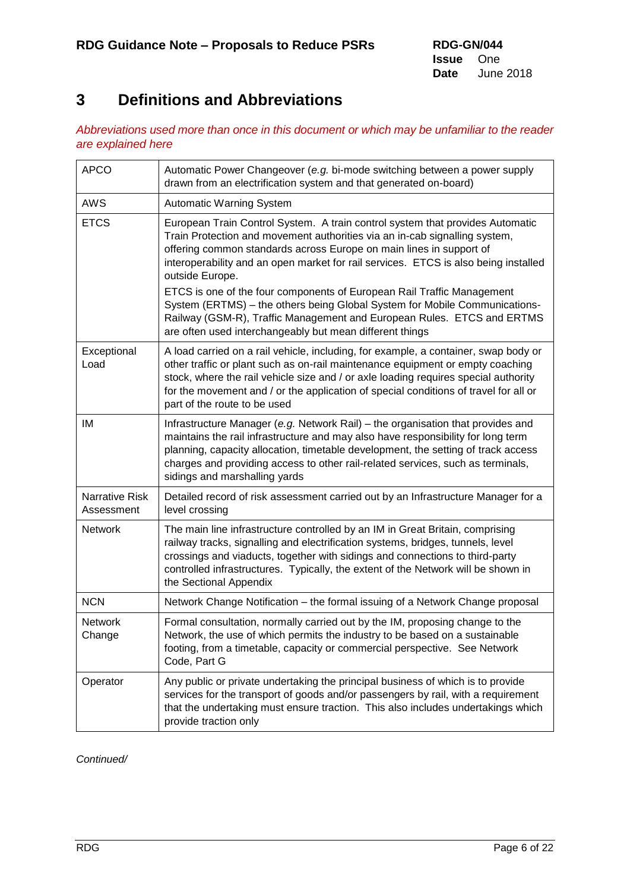# <span id="page-5-0"></span>**3 Definitions and Abbreviations**

*Abbreviations used more than once in this document or which may be unfamiliar to the reader are explained here*

| <b>APCO</b>                  | Automatic Power Changeover (e.g. bi-mode switching between a power supply<br>drawn from an electrification system and that generated on-board)                                                                                                                                                                                                                                       |
|------------------------------|--------------------------------------------------------------------------------------------------------------------------------------------------------------------------------------------------------------------------------------------------------------------------------------------------------------------------------------------------------------------------------------|
| <b>AWS</b>                   | Automatic Warning System                                                                                                                                                                                                                                                                                                                                                             |
| <b>ETCS</b>                  | European Train Control System. A train control system that provides Automatic<br>Train Protection and movement authorities via an in-cab signalling system,<br>offering common standards across Europe on main lines in support of<br>interoperability and an open market for rail services. ETCS is also being installed<br>outside Europe.                                         |
|                              | ETCS is one of the four components of European Rail Traffic Management<br>System (ERTMS) - the others being Global System for Mobile Communications-<br>Railway (GSM-R), Traffic Management and European Rules. ETCS and ERTMS<br>are often used interchangeably but mean different things                                                                                           |
| Exceptional<br>Load          | A load carried on a rail vehicle, including, for example, a container, swap body or<br>other traffic or plant such as on-rail maintenance equipment or empty coaching<br>stock, where the rail vehicle size and / or axle loading requires special authority<br>for the movement and / or the application of special conditions of travel for all or<br>part of the route to be used |
| ΙM                           | Infrastructure Manager (e.g. Network Rail) – the organisation that provides and<br>maintains the rail infrastructure and may also have responsibility for long term<br>planning, capacity allocation, timetable development, the setting of track access<br>charges and providing access to other rail-related services, such as terminals,<br>sidings and marshalling yards         |
| Narrative Risk<br>Assessment | Detailed record of risk assessment carried out by an Infrastructure Manager for a<br>level crossing                                                                                                                                                                                                                                                                                  |
| <b>Network</b>               | The main line infrastructure controlled by an IM in Great Britain, comprising<br>railway tracks, signalling and electrification systems, bridges, tunnels, level<br>crossings and viaducts, together with sidings and connections to third-party<br>controlled infrastructures. Typically, the extent of the Network will be shown in<br>the Sectional Appendix                      |
| <b>NCN</b>                   | Network Change Notification - the formal issuing of a Network Change proposal                                                                                                                                                                                                                                                                                                        |
| <b>Network</b><br>Change     | Formal consultation, normally carried out by the IM, proposing change to the<br>Network, the use of which permits the industry to be based on a sustainable<br>footing, from a timetable, capacity or commercial perspective. See Network<br>Code, Part G                                                                                                                            |
| Operator                     | Any public or private undertaking the principal business of which is to provide<br>services for the transport of goods and/or passengers by rail, with a requirement<br>that the undertaking must ensure traction. This also includes undertakings which<br>provide traction only                                                                                                    |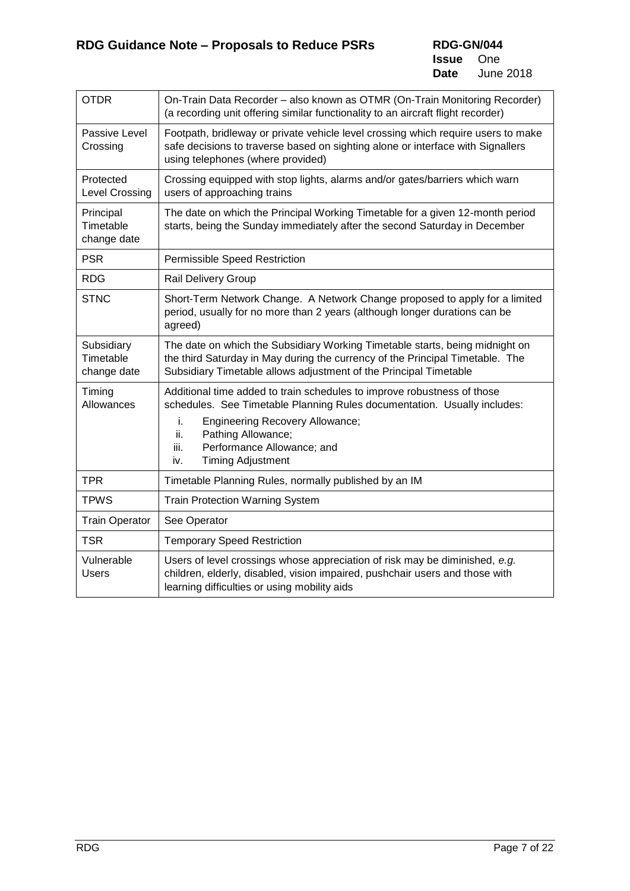| <b>OTDR</b>                            | On-Train Data Recorder - also known as OTMR (On-Train Monitoring Recorder)<br>(a recording unit offering similar functionality to an aircraft flight recorder)                                                                                                                                            |
|----------------------------------------|-----------------------------------------------------------------------------------------------------------------------------------------------------------------------------------------------------------------------------------------------------------------------------------------------------------|
| Passive Level<br>Crossing              | Footpath, bridleway or private vehicle level crossing which require users to make<br>safe decisions to traverse based on sighting alone or interface with Signallers<br>using telephones (where provided)                                                                                                 |
| Protected<br><b>Level Crossing</b>     | Crossing equipped with stop lights, alarms and/or gates/barriers which warn<br>users of approaching trains                                                                                                                                                                                                |
| Principal<br>Timetable<br>change date  | The date on which the Principal Working Timetable for a given 12-month period<br>starts, being the Sunday immediately after the second Saturday in December                                                                                                                                               |
| <b>PSR</b>                             | <b>Permissible Speed Restriction</b>                                                                                                                                                                                                                                                                      |
| <b>RDG</b>                             | Rail Delivery Group                                                                                                                                                                                                                                                                                       |
| <b>STNC</b>                            | Short-Term Network Change. A Network Change proposed to apply for a limited<br>period, usually for no more than 2 years (although longer durations can be<br>agreed)                                                                                                                                      |
| Subsidiary<br>Timetable<br>change date | The date on which the Subsidiary Working Timetable starts, being midnight on<br>the third Saturday in May during the currency of the Principal Timetable. The<br>Subsidiary Timetable allows adjustment of the Principal Timetable                                                                        |
| Timing<br>Allowances                   | Additional time added to train schedules to improve robustness of those<br>schedules. See Timetable Planning Rules documentation. Usually includes:<br><b>Engineering Recovery Allowance;</b><br>i.<br>Pathing Allowance;<br>ii.<br>iii.<br>Performance Allowance; and<br><b>Timing Adjustment</b><br>iv. |
| <b>TPR</b>                             | Timetable Planning Rules, normally published by an IM                                                                                                                                                                                                                                                     |
| <b>TPWS</b>                            | <b>Train Protection Warning System</b>                                                                                                                                                                                                                                                                    |
| <b>Train Operator</b>                  | See Operator                                                                                                                                                                                                                                                                                              |
| <b>TSR</b>                             | <b>Temporary Speed Restriction</b>                                                                                                                                                                                                                                                                        |
| Vulnerable<br><b>Users</b>             | Users of level crossings whose appreciation of risk may be diminished, e.g.<br>children, elderly, disabled, vision impaired, pushchair users and those with<br>learning difficulties or using mobility aids                                                                                               |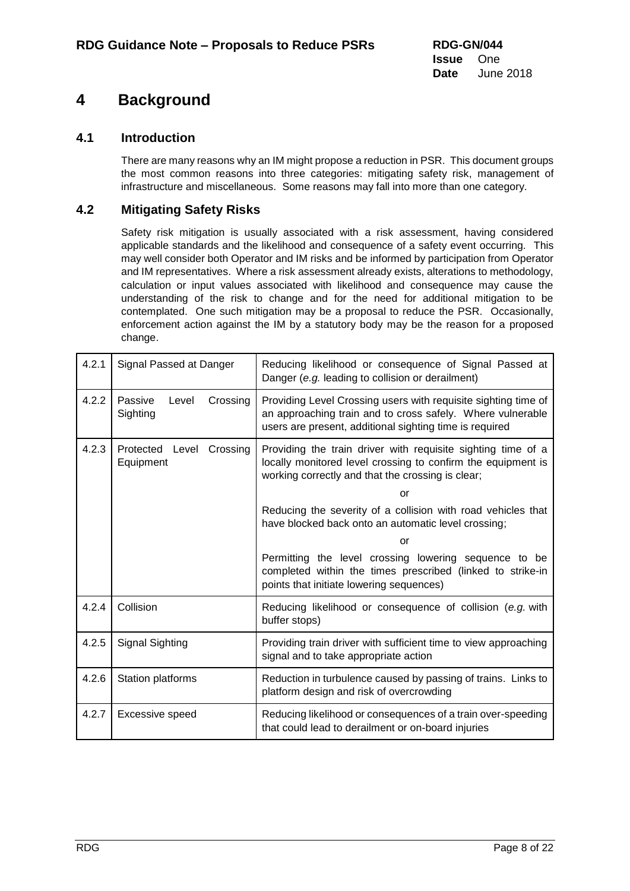# <span id="page-7-0"></span>**4 Background**

## **4.1 Introduction**

There are many reasons why an IM might propose a reduction in PSR. This document groups the most common reasons into three categories: mitigating safety risk, management of infrastructure and miscellaneous. Some reasons may fall into more than one category.

## **4.2 Mitigating Safety Risks**

Safety risk mitigation is usually associated with a risk assessment, having considered applicable standards and the likelihood and consequence of a safety event occurring. This may well consider both Operator and IM risks and be informed by participation from Operator and IM representatives. Where a risk assessment already exists, alterations to methodology, calculation or input values associated with likelihood and consequence may cause the understanding of the risk to change and for the need for additional mitigation to be contemplated. One such mitigation may be a proposal to reduce the PSR. Occasionally, enforcement action against the IM by a statutory body may be the reason for a proposed change.

| 4.2.1 | Signal Passed at Danger                  | Reducing likelihood or consequence of Signal Passed at<br>Danger (e.g. leading to collision or derailment)                                                                              |
|-------|------------------------------------------|-----------------------------------------------------------------------------------------------------------------------------------------------------------------------------------------|
| 4.2.2 | Level<br>Crossing<br>Passive<br>Sighting | Providing Level Crossing users with requisite sighting time of<br>an approaching train and to cross safely. Where vulnerable<br>users are present, additional sighting time is required |
| 4.2.3 | Protected Level<br>Crossing<br>Equipment | Providing the train driver with requisite sighting time of a<br>locally monitored level crossing to confirm the equipment is<br>working correctly and that the crossing is clear;       |
|       |                                          | or                                                                                                                                                                                      |
|       |                                          | Reducing the severity of a collision with road vehicles that<br>have blocked back onto an automatic level crossing;                                                                     |
|       |                                          | or                                                                                                                                                                                      |
|       |                                          | Permitting the level crossing lowering sequence to be<br>completed within the times prescribed (linked to strike-in<br>points that initiate lowering sequences)                         |
| 4.2.4 | Collision                                | Reducing likelihood or consequence of collision (e.g. with<br>buffer stops)                                                                                                             |
| 4.2.5 | <b>Signal Sighting</b>                   | Providing train driver with sufficient time to view approaching<br>signal and to take appropriate action                                                                                |
| 4.2.6 | Station platforms                        | Reduction in turbulence caused by passing of trains. Links to<br>platform design and risk of overcrowding                                                                               |
| 4.2.7 | Excessive speed                          | Reducing likelihood or consequences of a train over-speeding<br>that could lead to derailment or on-board injuries                                                                      |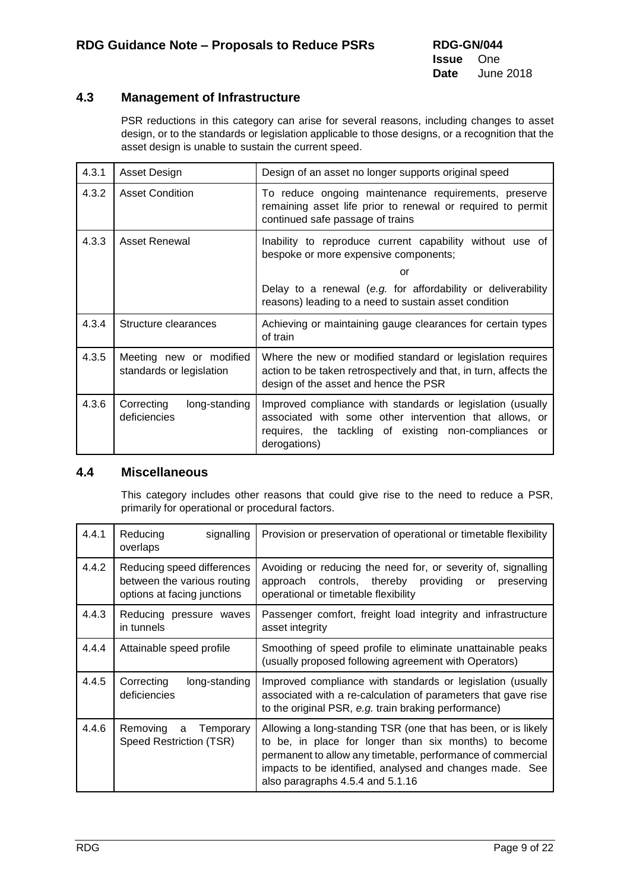## **4.3 Management of Infrastructure**

PSR reductions in this category can arise for several reasons, including changes to asset design, or to the standards or legislation applicable to those designs, or a recognition that the asset design is unable to sustain the current speed.

| 4.3.1 | Asset Design                                        | Design of an asset no longer supports original speed                                                                                                                                           |  |
|-------|-----------------------------------------------------|------------------------------------------------------------------------------------------------------------------------------------------------------------------------------------------------|--|
| 4.3.2 | <b>Asset Condition</b>                              | To reduce ongoing maintenance requirements, preserve<br>remaining asset life prior to renewal or required to permit<br>continued safe passage of trains                                        |  |
| 4.3.3 | Asset Renewal                                       | Inability to reproduce current capability without use of<br>bespoke or more expensive components;                                                                                              |  |
|       |                                                     | or                                                                                                                                                                                             |  |
|       |                                                     | Delay to a renewal (e.g. for affordability or deliverability<br>reasons) leading to a need to sustain asset condition                                                                          |  |
| 4.3.4 | Structure clearances                                | Achieving or maintaining gauge clearances for certain types<br>of train                                                                                                                        |  |
| 4.3.5 | Meeting new or modified<br>standards or legislation | Where the new or modified standard or legislation requires<br>action to be taken retrospectively and that, in turn, affects the<br>design of the asset and hence the PSR                       |  |
| 4.3.6 | Correcting<br>long-standing<br>deficiencies         | Improved compliance with standards or legislation (usually<br>associated with some other intervention that allows, or<br>requires, the tackling of existing non-compliances or<br>derogations) |  |

### **4.4 Miscellaneous**

This category includes other reasons that could give rise to the need to reduce a PSR, primarily for operational or procedural factors.

| 4.4.1 | Reducing<br>signalling<br>overlaps                                                       | Provision or preservation of operational or timetable flexibility                                                                                                                                                                                                                     |
|-------|------------------------------------------------------------------------------------------|---------------------------------------------------------------------------------------------------------------------------------------------------------------------------------------------------------------------------------------------------------------------------------------|
| 4.4.2 | Reducing speed differences<br>between the various routing<br>options at facing junctions | Avoiding or reducing the need for, or severity of, signalling<br>approach controls, thereby<br>providing or<br>preserving<br>operational or timetable flexibility                                                                                                                     |
| 4.4.3 | Reducing pressure waves<br>in tunnels                                                    | Passenger comfort, freight load integrity and infrastructure<br>asset integrity                                                                                                                                                                                                       |
| 4.4.4 | Attainable speed profile                                                                 | Smoothing of speed profile to eliminate unattainable peaks<br>(usually proposed following agreement with Operators)                                                                                                                                                                   |
| 4.4.5 | Correcting<br>long-standing<br>deficiencies                                              | Improved compliance with standards or legislation (usually<br>associated with a re-calculation of parameters that gave rise<br>to the original PSR, e.g. train braking performance)                                                                                                   |
| 4.4.6 | Temporary<br>Removing<br>a<br>Speed Restriction (TSR)                                    | Allowing a long-standing TSR (one that has been, or is likely<br>to be, in place for longer than six months) to become<br>permanent to allow any timetable, performance of commercial<br>impacts to be identified, analysed and changes made. See<br>also paragraphs 4.5.4 and 5.1.16 |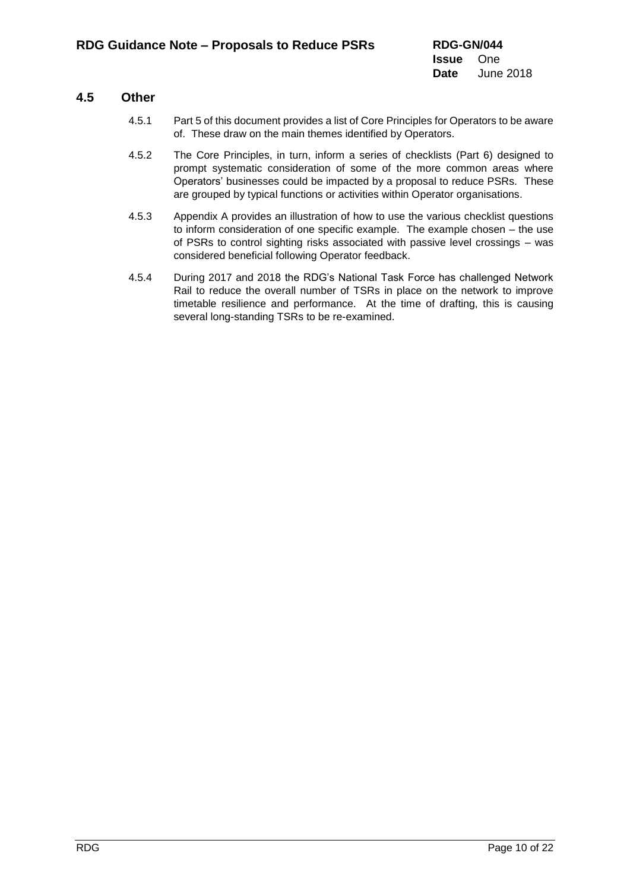### **4.5 Other**

- 4.5.1 Part 5 of this document provides a list of Core Principles for Operators to be aware of. These draw on the main themes identified by Operators.
- 4.5.2 The Core Principles, in turn, inform a series of checklists (Part 6) designed to prompt systematic consideration of some of the more common areas where Operators' businesses could be impacted by a proposal to reduce PSRs. These are grouped by typical functions or activities within Operator organisations.
- 4.5.3 Appendix A provides an illustration of how to use the various checklist questions to inform consideration of one specific example. The example chosen – the use of PSRs to control sighting risks associated with passive level crossings – was considered beneficial following Operator feedback.
- 4.5.4 During 2017 and 2018 the RDG's National Task Force has challenged Network Rail to reduce the overall number of TSRs in place on the network to improve timetable resilience and performance. At the time of drafting, this is causing several long-standing TSRs to be re-examined.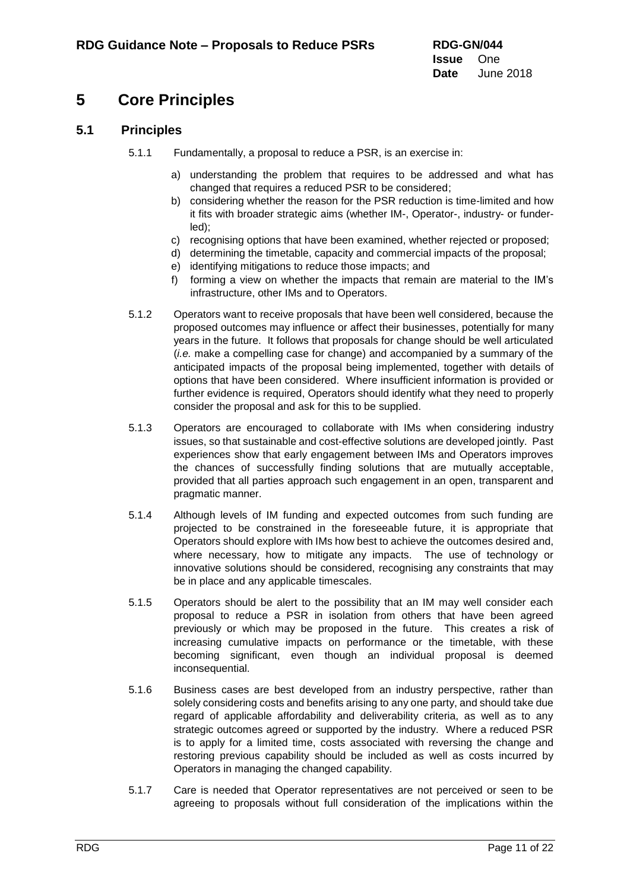# <span id="page-10-0"></span>**5 Core Principles**

## **5.1 Principles**

- 5.1.1 Fundamentally, a proposal to reduce a PSR, is an exercise in:
	- a) understanding the problem that requires to be addressed and what has changed that requires a reduced PSR to be considered;
	- b) considering whether the reason for the PSR reduction is time-limited and how it fits with broader strategic aims (whether IM-, Operator-, industry- or funderled);
	- c) recognising options that have been examined, whether rejected or proposed;
	- d) determining the timetable, capacity and commercial impacts of the proposal;
	- e) identifying mitigations to reduce those impacts; and
	- f) forming a view on whether the impacts that remain are material to the IM's infrastructure, other IMs and to Operators.
- 5.1.2 Operators want to receive proposals that have been well considered, because the proposed outcomes may influence or affect their businesses, potentially for many years in the future. It follows that proposals for change should be well articulated (*i.e.* make a compelling case for change) and accompanied by a summary of the anticipated impacts of the proposal being implemented, together with details of options that have been considered. Where insufficient information is provided or further evidence is required, Operators should identify what they need to properly consider the proposal and ask for this to be supplied.
- 5.1.3 Operators are encouraged to collaborate with IMs when considering industry issues, so that sustainable and cost-effective solutions are developed jointly. Past experiences show that early engagement between IMs and Operators improves the chances of successfully finding solutions that are mutually acceptable, provided that all parties approach such engagement in an open, transparent and pragmatic manner.
- 5.1.4 Although levels of IM funding and expected outcomes from such funding are projected to be constrained in the foreseeable future, it is appropriate that Operators should explore with IMs how best to achieve the outcomes desired and, where necessary, how to mitigate any impacts. The use of technology or innovative solutions should be considered, recognising any constraints that may be in place and any applicable timescales.
- 5.1.5 Operators should be alert to the possibility that an IM may well consider each proposal to reduce a PSR in isolation from others that have been agreed previously or which may be proposed in the future. This creates a risk of increasing cumulative impacts on performance or the timetable, with these becoming significant, even though an individual proposal is deemed inconsequential.
- 5.1.6 Business cases are best developed from an industry perspective, rather than solely considering costs and benefits arising to any one party, and should take due regard of applicable affordability and deliverability criteria, as well as to any strategic outcomes agreed or supported by the industry. Where a reduced PSR is to apply for a limited time, costs associated with reversing the change and restoring previous capability should be included as well as costs incurred by Operators in managing the changed capability.
- 5.1.7 Care is needed that Operator representatives are not perceived or seen to be agreeing to proposals without full consideration of the implications within the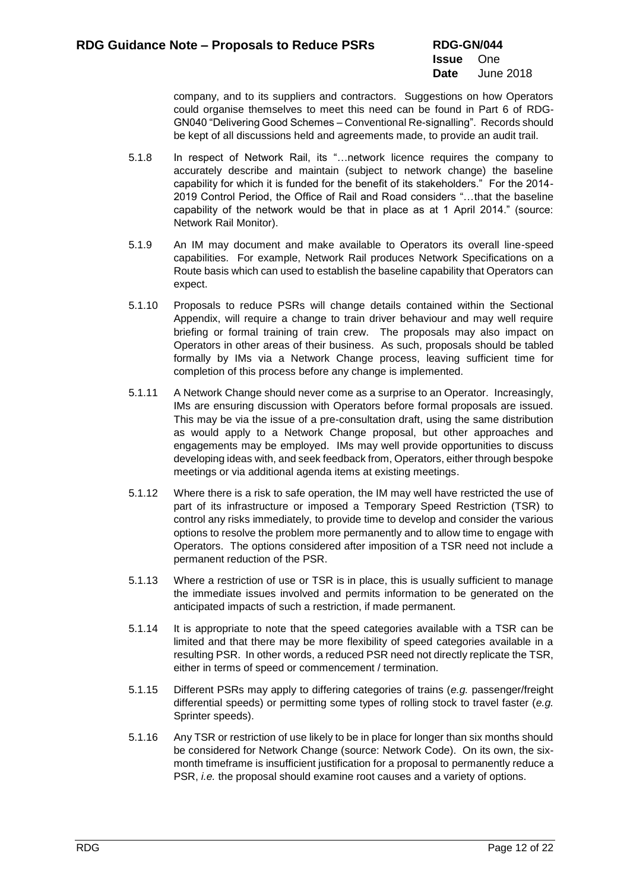company, and to its suppliers and contractors. Suggestions on how Operators could organise themselves to meet this need can be found in Part 6 of RDG-GN040 "Delivering Good Schemes – Conventional Re-signalling". Records should be kept of all discussions held and agreements made, to provide an audit trail.

- 5.1.8 In respect of Network Rail, its "…network licence requires the company to accurately describe and maintain (subject to network change) the baseline capability for which it is funded for the benefit of its stakeholders." For the 2014- 2019 Control Period, the Office of Rail and Road considers "…that the baseline capability of the network would be that in place as at 1 April 2014." (source: Network Rail Monitor).
- 5.1.9 An IM may document and make available to Operators its overall line-speed capabilities. For example, Network Rail produces Network Specifications on a Route basis which can used to establish the baseline capability that Operators can expect.
- 5.1.10 Proposals to reduce PSRs will change details contained within the Sectional Appendix, will require a change to train driver behaviour and may well require briefing or formal training of train crew. The proposals may also impact on Operators in other areas of their business. As such, proposals should be tabled formally by IMs via a Network Change process, leaving sufficient time for completion of this process before any change is implemented.
- 5.1.11 A Network Change should never come as a surprise to an Operator. Increasingly, IMs are ensuring discussion with Operators before formal proposals are issued. This may be via the issue of a pre-consultation draft, using the same distribution as would apply to a Network Change proposal, but other approaches and engagements may be employed. IMs may well provide opportunities to discuss developing ideas with, and seek feedback from, Operators, either through bespoke meetings or via additional agenda items at existing meetings.
- 5.1.12 Where there is a risk to safe operation, the IM may well have restricted the use of part of its infrastructure or imposed a Temporary Speed Restriction (TSR) to control any risks immediately, to provide time to develop and consider the various options to resolve the problem more permanently and to allow time to engage with Operators. The options considered after imposition of a TSR need not include a permanent reduction of the PSR.
- 5.1.13 Where a restriction of use or TSR is in place, this is usually sufficient to manage the immediate issues involved and permits information to be generated on the anticipated impacts of such a restriction, if made permanent.
- 5.1.14 It is appropriate to note that the speed categories available with a TSR can be limited and that there may be more flexibility of speed categories available in a resulting PSR. In other words, a reduced PSR need not directly replicate the TSR, either in terms of speed or commencement / termination.
- 5.1.15 Different PSRs may apply to differing categories of trains (*e.g.* passenger/freight differential speeds) or permitting some types of rolling stock to travel faster (*e.g.* Sprinter speeds).
- 5.1.16 Any TSR or restriction of use likely to be in place for longer than six months should be considered for Network Change (source: Network Code). On its own, the sixmonth timeframe is insufficient justification for a proposal to permanently reduce a PSR, *i.e.* the proposal should examine root causes and a variety of options.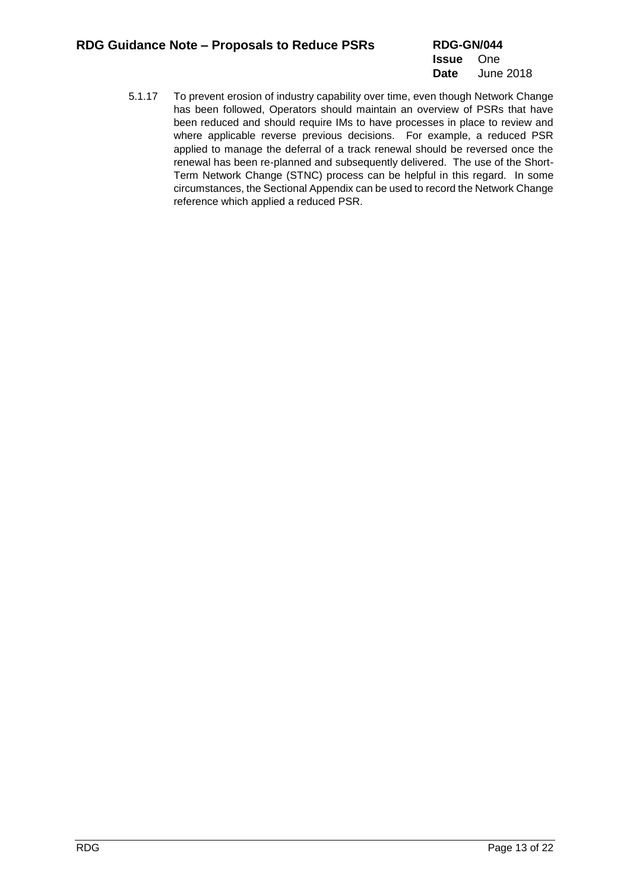5.1.17 To prevent erosion of industry capability over time, even though Network Change has been followed, Operators should maintain an overview of PSRs that have been reduced and should require IMs to have processes in place to review and where applicable reverse previous decisions. For example, a reduced PSR applied to manage the deferral of a track renewal should be reversed once the renewal has been re-planned and subsequently delivered. The use of the Short-Term Network Change (STNC) process can be helpful in this regard. In some circumstances, the Sectional Appendix can be used to record the Network Change reference which applied a reduced PSR.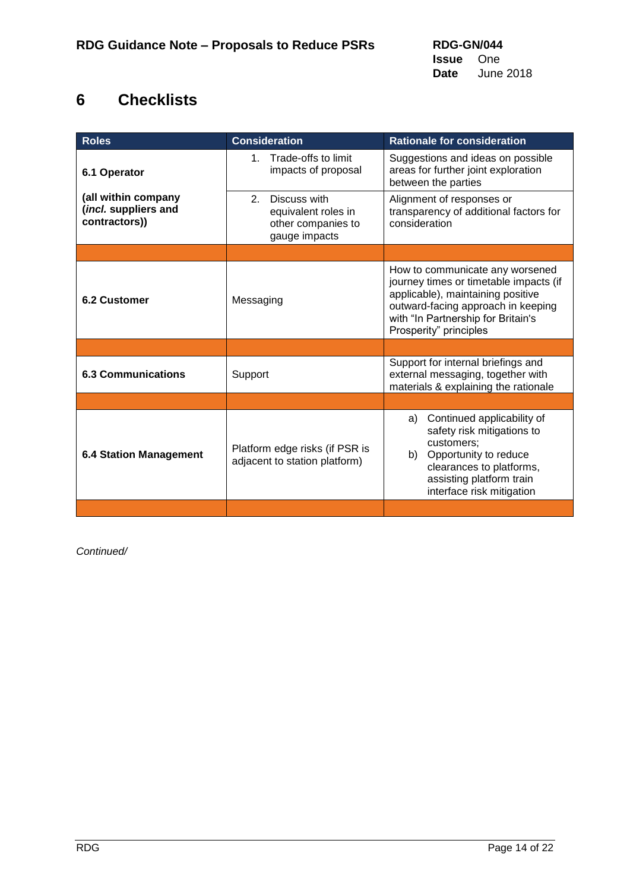# <span id="page-13-0"></span>**6 Checklists**

<span id="page-13-4"></span><span id="page-13-3"></span><span id="page-13-2"></span><span id="page-13-1"></span>

| <b>Roles</b>                                                 | <b>Consideration</b>                                                                        | <b>Rationale for consideration</b>                                                                                                                                                                                   |
|--------------------------------------------------------------|---------------------------------------------------------------------------------------------|----------------------------------------------------------------------------------------------------------------------------------------------------------------------------------------------------------------------|
| 6.1 Operator                                                 | 1. Trade-offs to limit<br>impacts of proposal                                               | Suggestions and ideas on possible<br>areas for further joint exploration<br>between the parties                                                                                                                      |
| (all within company<br>(incl. suppliers and<br>contractors)) | $\mathcal{P}$<br>Discuss with<br>equivalent roles in<br>other companies to<br>gauge impacts | Alignment of responses or<br>transparency of additional factors for<br>consideration                                                                                                                                 |
|                                                              |                                                                                             |                                                                                                                                                                                                                      |
| 6.2 Customer                                                 | Messaging                                                                                   | How to communicate any worsened<br>journey times or timetable impacts (if<br>applicable), maintaining positive<br>outward-facing approach in keeping<br>with "In Partnership for Britain's<br>Prosperity" principles |
|                                                              |                                                                                             |                                                                                                                                                                                                                      |
| <b>6.3 Communications</b>                                    | Support                                                                                     | Support for internal briefings and<br>external messaging, together with<br>materials & explaining the rationale                                                                                                      |
|                                                              |                                                                                             |                                                                                                                                                                                                                      |
| <b>6.4 Station Management</b>                                | Platform edge risks (if PSR is<br>adjacent to station platform)                             | Continued applicability of<br>a)<br>safety risk mitigations to<br>customers:<br>Opportunity to reduce<br>b)<br>clearances to platforms,<br>assisting platform train<br>interface risk mitigation                     |
|                                                              |                                                                                             |                                                                                                                                                                                                                      |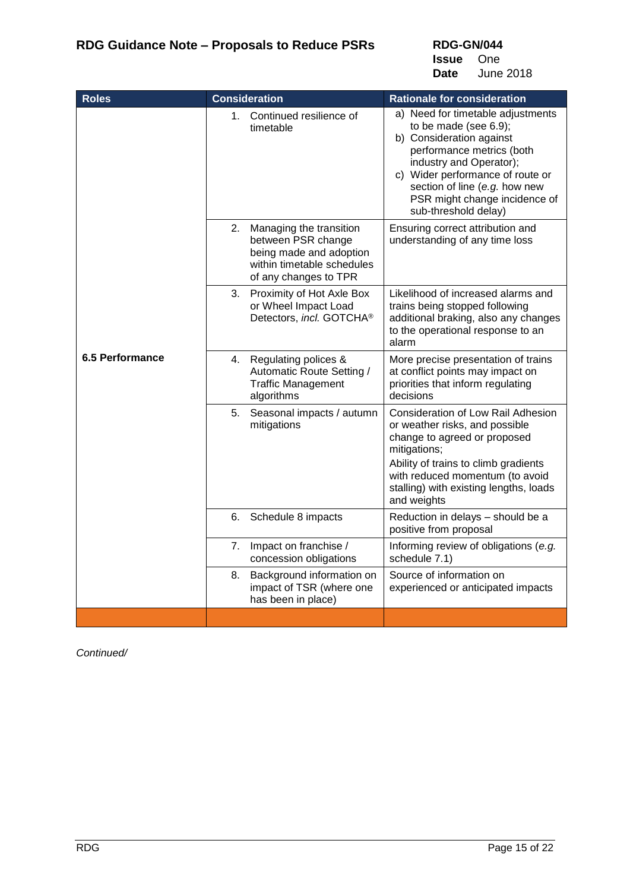**RDG-GN/044 Issue** One

**Date** June 2018

<span id="page-14-0"></span>

| <b>Roles</b>           |                | <b>Consideration</b>                                                                                                            | <b>Rationale for consideration</b>                                                                                                                                                                                                                                              |
|------------------------|----------------|---------------------------------------------------------------------------------------------------------------------------------|---------------------------------------------------------------------------------------------------------------------------------------------------------------------------------------------------------------------------------------------------------------------------------|
|                        |                | 1. Continued resilience of<br>timetable                                                                                         | a) Need for timetable adjustments<br>to be made (see $6.9$ );<br>b) Consideration against<br>performance metrics (both<br>industry and Operator);<br>c) Wider performance of route or<br>section of line (e.g. how new<br>PSR might change incidence of<br>sub-threshold delay) |
|                        | 2.             | Managing the transition<br>between PSR change<br>being made and adoption<br>within timetable schedules<br>of any changes to TPR | Ensuring correct attribution and<br>understanding of any time loss                                                                                                                                                                                                              |
|                        | 3.             | Proximity of Hot Axle Box<br>or Wheel Impact Load<br>Detectors, incl. GOTCHA®                                                   | Likelihood of increased alarms and<br>trains being stopped following<br>additional braking, also any changes<br>to the operational response to an<br>alarm                                                                                                                      |
| <b>6.5 Performance</b> |                | 4. Regulating polices &<br>Automatic Route Setting /<br><b>Traffic Management</b><br>algorithms                                 | More precise presentation of trains<br>at conflict points may impact on<br>priorities that inform regulating<br>decisions                                                                                                                                                       |
|                        | 5 <sub>1</sub> | Seasonal impacts / autumn<br>mitigations                                                                                        | <b>Consideration of Low Rail Adhesion</b><br>or weather risks, and possible<br>change to agreed or proposed<br>mitigations;<br>Ability of trains to climb gradients<br>with reduced momentum (to avoid<br>stalling) with existing lengths, loads<br>and weights                 |
|                        | 6.             | Schedule 8 impacts                                                                                                              | Reduction in delays - should be a<br>positive from proposal                                                                                                                                                                                                                     |
|                        |                | 7. Impact on franchise /<br>concession obligations                                                                              | Informing review of obligations (e.g.<br>schedule 7.1)                                                                                                                                                                                                                          |
|                        | 8.             | Background information on<br>impact of TSR (where one<br>has been in place)                                                     | Source of information on<br>experienced or anticipated impacts                                                                                                                                                                                                                  |
|                        |                |                                                                                                                                 |                                                                                                                                                                                                                                                                                 |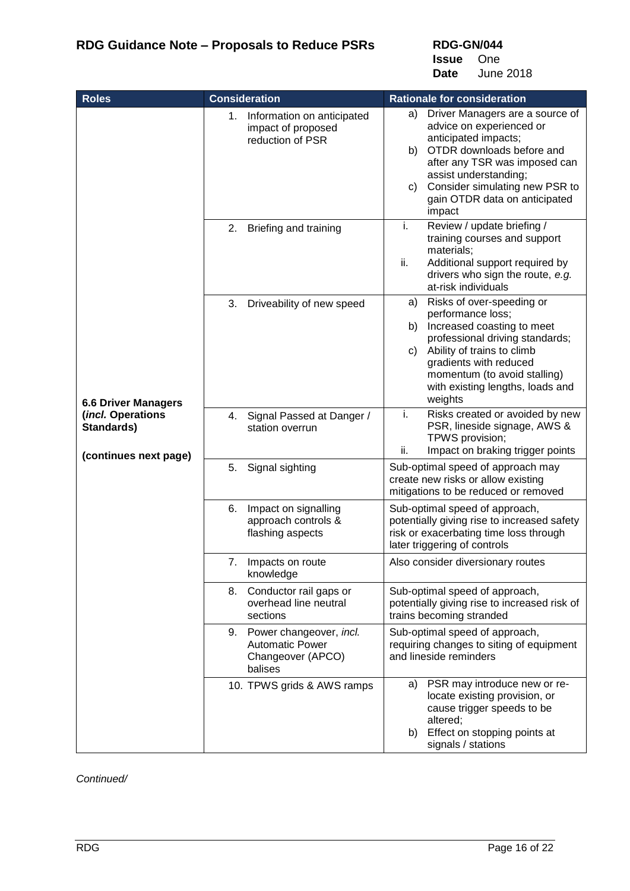**RDG-GN/044**

**Issue** One **Date** June 2018

<span id="page-15-0"></span>

| <b>Roles</b>                                             | <b>Consideration</b>                                                                 | <b>Rationale for consideration</b>                                                                                                                                                                                                                                        |
|----------------------------------------------------------|--------------------------------------------------------------------------------------|---------------------------------------------------------------------------------------------------------------------------------------------------------------------------------------------------------------------------------------------------------------------------|
|                                                          | 1. Information on anticipated<br>impact of proposed<br>reduction of PSR              | Driver Managers are a source of<br>a)<br>advice on experienced or<br>anticipated impacts;<br>OTDR downloads before and<br>b)<br>after any TSR was imposed can<br>assist understanding;<br>Consider simulating new PSR to<br>C)<br>gain OTDR data on anticipated<br>impact |
|                                                          | Briefing and training<br>2.                                                          | i.<br>Review / update briefing /<br>training courses and support<br>materials;<br>ii.<br>Additional support required by<br>drivers who sign the route, e.g.<br>at-risk individuals                                                                                        |
| <b>6.6 Driver Managers</b>                               | Driveability of new speed<br>3.                                                      | Risks of over-speeding or<br>a)<br>performance loss;<br>Increased coasting to meet<br>b)<br>professional driving standards;<br>Ability of trains to climb<br>C)<br>gradients with reduced<br>momentum (to avoid stalling)<br>with existing lengths, loads and<br>weights  |
| (incl. Operations<br>Standards)<br>(continues next page) | 4. Signal Passed at Danger /<br>station overrun                                      | Risks created or avoided by new<br>i.<br>PSR, lineside signage, AWS &<br>TPWS provision;<br>Impact on braking trigger points<br>ii.                                                                                                                                       |
|                                                          | Signal sighting<br>5.                                                                | Sub-optimal speed of approach may<br>create new risks or allow existing<br>mitigations to be reduced or removed                                                                                                                                                           |
|                                                          | Impact on signalling<br>6.<br>approach controls &<br>flashing aspects                | Sub-optimal speed of approach,<br>potentially giving rise to increased safety<br>risk or exacerbating time loss through<br>later triggering of controls                                                                                                                   |
|                                                          | 7. Impacts on route<br>knowledge                                                     | Also consider diversionary routes                                                                                                                                                                                                                                         |
|                                                          | 8. Conductor rail gaps or<br>overhead line neutral<br>sections                       | Sub-optimal speed of approach,<br>potentially giving rise to increased risk of<br>trains becoming stranded                                                                                                                                                                |
|                                                          | 9. Power changeover, incl.<br><b>Automatic Power</b><br>Changeover (APCO)<br>balises | Sub-optimal speed of approach,<br>requiring changes to siting of equipment<br>and lineside reminders                                                                                                                                                                      |
|                                                          | 10. TPWS grids & AWS ramps                                                           | PSR may introduce new or re-<br>a)<br>locate existing provision, or<br>cause trigger speeds to be<br>altered;<br>Effect on stopping points at<br>b)<br>signals / stations                                                                                                 |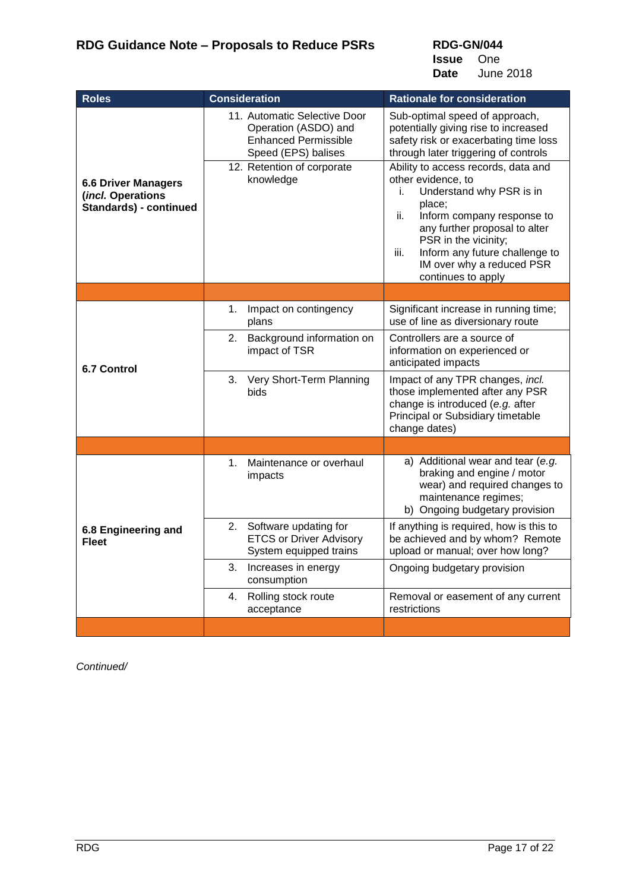**RDG-GN/044 Issue** One **Date** June 2018

<span id="page-16-1"></span><span id="page-16-0"></span>

| <b>Roles</b>                                                                     | <b>Consideration</b>                                                                                                                                  | <b>Rationale for consideration</b>                                                                                                                                                                                                                                                                                                                                                                                                                          |
|----------------------------------------------------------------------------------|-------------------------------------------------------------------------------------------------------------------------------------------------------|-------------------------------------------------------------------------------------------------------------------------------------------------------------------------------------------------------------------------------------------------------------------------------------------------------------------------------------------------------------------------------------------------------------------------------------------------------------|
| <b>6.6 Driver Managers</b><br>(incl. Operations<br><b>Standards) - continued</b> | 11. Automatic Selective Door<br>Operation (ASDO) and<br><b>Enhanced Permissible</b><br>Speed (EPS) balises<br>12. Retention of corporate<br>knowledge | Sub-optimal speed of approach,<br>potentially giving rise to increased<br>safety risk or exacerbating time loss<br>through later triggering of controls<br>Ability to access records, data and<br>other evidence, to<br>Understand why PSR is in<br>i.<br>place;<br>Inform company response to<br>ii.<br>any further proposal to alter<br>PSR in the vicinity;<br>Inform any future challenge to<br>iii.<br>IM over why a reduced PSR<br>continues to apply |
|                                                                                  |                                                                                                                                                       |                                                                                                                                                                                                                                                                                                                                                                                                                                                             |
|                                                                                  | Impact on contingency<br>1.<br>plans                                                                                                                  | Significant increase in running time;<br>use of line as diversionary route                                                                                                                                                                                                                                                                                                                                                                                  |
| <b>6.7 Control</b>                                                               | Background information on<br>2.<br>impact of TSR                                                                                                      | Controllers are a source of<br>information on experienced or<br>anticipated impacts                                                                                                                                                                                                                                                                                                                                                                         |
|                                                                                  | 3. Very Short-Term Planning<br>bids                                                                                                                   | Impact of any TPR changes, incl.<br>those implemented after any PSR<br>change is introduced (e.g. after<br>Principal or Subsidiary timetable<br>change dates)                                                                                                                                                                                                                                                                                               |
|                                                                                  |                                                                                                                                                       |                                                                                                                                                                                                                                                                                                                                                                                                                                                             |
|                                                                                  | Maintenance or overhaul<br>1.<br>impacts                                                                                                              | a) Additional wear and tear (e.g.<br>braking and engine / motor<br>wear) and required changes to<br>maintenance regimes;<br>b) Ongoing budgetary provision                                                                                                                                                                                                                                                                                                  |
| 6.8 Engineering and<br><b>Fleet</b>                                              | Software updating for<br>2.<br><b>ETCS or Driver Advisory</b><br>System equipped trains                                                               | If anything is required, how is this to<br>be achieved and by whom? Remote<br>upload or manual; over how long?                                                                                                                                                                                                                                                                                                                                              |
|                                                                                  | Increases in energy<br>3.<br>consumption                                                                                                              | Ongoing budgetary provision                                                                                                                                                                                                                                                                                                                                                                                                                                 |
|                                                                                  | 4.<br>Rolling stock route<br>acceptance                                                                                                               | Removal or easement of any current<br>restrictions                                                                                                                                                                                                                                                                                                                                                                                                          |
|                                                                                  |                                                                                                                                                       |                                                                                                                                                                                                                                                                                                                                                                                                                                                             |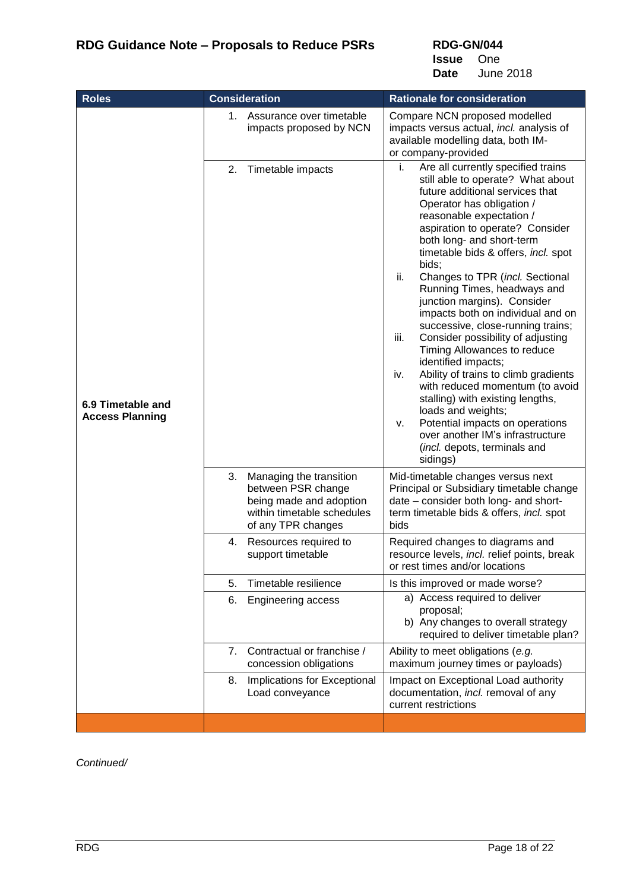**RDG-GN/044 Issue** One

**Date** June 2018

<span id="page-17-0"></span>

| <b>Roles</b>                                | <b>Consideration</b>                                                                                                               | <b>Rationale for consideration</b>                                                                                                                                                                                                                                                                                                                                                                                                                                                                                                                                                                                                                                                                                                                                                                                                                  |
|---------------------------------------------|------------------------------------------------------------------------------------------------------------------------------------|-----------------------------------------------------------------------------------------------------------------------------------------------------------------------------------------------------------------------------------------------------------------------------------------------------------------------------------------------------------------------------------------------------------------------------------------------------------------------------------------------------------------------------------------------------------------------------------------------------------------------------------------------------------------------------------------------------------------------------------------------------------------------------------------------------------------------------------------------------|
|                                             | 1. Assurance over timetable<br>impacts proposed by NCN                                                                             | Compare NCN proposed modelled<br>impacts versus actual, incl. analysis of<br>available modelling data, both IM-<br>or company-provided                                                                                                                                                                                                                                                                                                                                                                                                                                                                                                                                                                                                                                                                                                              |
| 6.9 Timetable and<br><b>Access Planning</b> | 2. Timetable impacts                                                                                                               | Are all currently specified trains<br>i.<br>still able to operate? What about<br>future additional services that<br>Operator has obligation /<br>reasonable expectation /<br>aspiration to operate? Consider<br>both long- and short-term<br>timetable bids & offers, incl. spot<br>bids;<br>ii.<br>Changes to TPR (incl. Sectional<br>Running Times, headways and<br>junction margins). Consider<br>impacts both on individual and on<br>successive, close-running trains;<br>iii.<br>Consider possibility of adjusting<br>Timing Allowances to reduce<br>identified impacts;<br>Ability of trains to climb gradients<br>iv.<br>with reduced momentum (to avoid<br>stalling) with existing lengths,<br>loads and weights;<br>Potential impacts on operations<br>v.<br>over another IM's infrastructure<br>(incl. depots, terminals and<br>sidings) |
|                                             | 3.<br>Managing the transition<br>between PSR change<br>being made and adoption<br>within timetable schedules<br>of any TPR changes | Mid-timetable changes versus next<br>Principal or Subsidiary timetable change<br>date – consider both long- and short-<br>term timetable bids & offers, incl. spot<br>bids                                                                                                                                                                                                                                                                                                                                                                                                                                                                                                                                                                                                                                                                          |
|                                             | 4. Resources required to<br>support timetable                                                                                      | Required changes to diagrams and<br>resource levels, incl. relief points, break<br>or rest times and/or locations                                                                                                                                                                                                                                                                                                                                                                                                                                                                                                                                                                                                                                                                                                                                   |
|                                             | Timetable resilience<br>5.                                                                                                         | Is this improved or made worse?                                                                                                                                                                                                                                                                                                                                                                                                                                                                                                                                                                                                                                                                                                                                                                                                                     |
|                                             | 6.<br><b>Engineering access</b>                                                                                                    | a) Access required to deliver<br>proposal;<br>b) Any changes to overall strategy<br>required to deliver timetable plan?                                                                                                                                                                                                                                                                                                                                                                                                                                                                                                                                                                                                                                                                                                                             |
|                                             | 7. Contractual or franchise /<br>concession obligations                                                                            | Ability to meet obligations (e.g.<br>maximum journey times or payloads)                                                                                                                                                                                                                                                                                                                                                                                                                                                                                                                                                                                                                                                                                                                                                                             |
|                                             | Implications for Exceptional<br>8.<br>Load conveyance                                                                              | Impact on Exceptional Load authority<br>documentation, incl. removal of any<br>current restrictions                                                                                                                                                                                                                                                                                                                                                                                                                                                                                                                                                                                                                                                                                                                                                 |
|                                             |                                                                                                                                    |                                                                                                                                                                                                                                                                                                                                                                                                                                                                                                                                                                                                                                                                                                                                                                                                                                                     |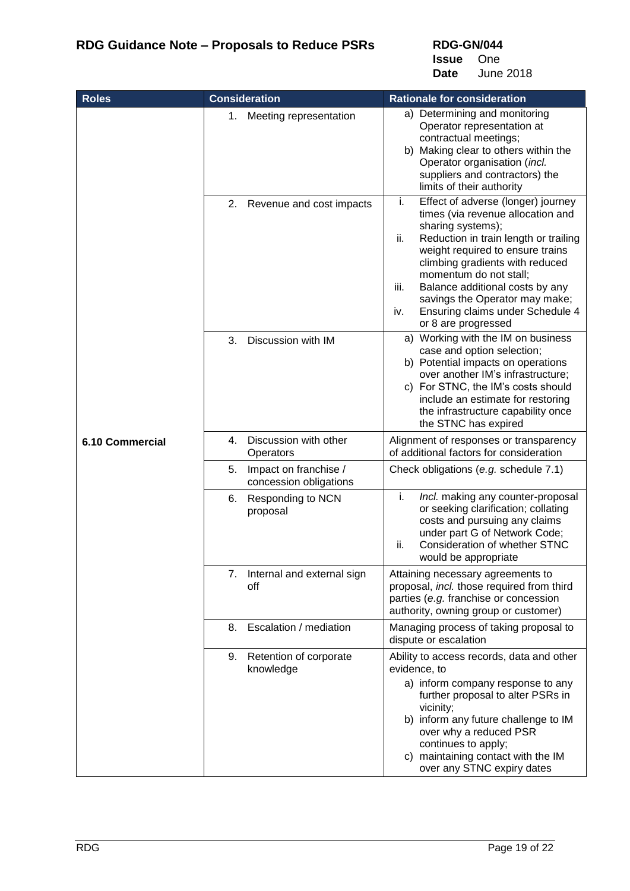**Issue** One **Date** June 2018

<span id="page-18-0"></span>

| <b>Roles</b>    | <b>Consideration</b>                                  | <b>Rationale for consideration</b>                                                                                                                                                                                                                                                                                                                                                                 |
|-----------------|-------------------------------------------------------|----------------------------------------------------------------------------------------------------------------------------------------------------------------------------------------------------------------------------------------------------------------------------------------------------------------------------------------------------------------------------------------------------|
|                 | 1.<br>Meeting representation                          | a) Determining and monitoring<br>Operator representation at<br>contractual meetings;<br>b) Making clear to others within the<br>Operator organisation (incl.<br>suppliers and contractors) the<br>limits of their authority                                                                                                                                                                        |
|                 | Revenue and cost impacts<br>2.                        | i.<br>Effect of adverse (longer) journey<br>times (via revenue allocation and<br>sharing systems);<br>ii.<br>Reduction in train length or trailing<br>weight required to ensure trains<br>climbing gradients with reduced<br>momentum do not stall;<br>Balance additional costs by any<br>iii.<br>savings the Operator may make;<br>Ensuring claims under Schedule 4<br>iv.<br>or 8 are progressed |
|                 | Discussion with IM<br>3.                              | a) Working with the IM on business<br>case and option selection;<br>b) Potential impacts on operations<br>over another IM's infrastructure;<br>c) For STNC, the IM's costs should<br>include an estimate for restoring<br>the infrastructure capability once<br>the STNC has expired                                                                                                               |
| 6.10 Commercial | Discussion with other<br>4.<br>Operators              | Alignment of responses or transparency<br>of additional factors for consideration                                                                                                                                                                                                                                                                                                                  |
|                 | Impact on franchise /<br>5.<br>concession obligations | Check obligations (e.g. schedule 7.1)                                                                                                                                                                                                                                                                                                                                                              |
|                 | 6.<br>Responding to NCN<br>proposal                   | i.<br>Incl. making any counter-proposal<br>or seeking clarification; collating<br>costs and pursuing any claims<br>under part G of Network Code;<br><b>Consideration of whether STNC</b><br>ii.<br>would be appropriate                                                                                                                                                                            |
|                 | 7. Internal and external sign<br>off                  | Attaining necessary agreements to<br>proposal, incl. those required from third<br>parties (e.g. franchise or concession<br>authority, owning group or customer)                                                                                                                                                                                                                                    |
|                 | 8. Escalation / mediation                             | Managing process of taking proposal to<br>dispute or escalation                                                                                                                                                                                                                                                                                                                                    |
|                 | 9. Retention of corporate<br>knowledge                | Ability to access records, data and other<br>evidence, to<br>a) inform company response to any<br>further proposal to alter PSRs in<br>vicinity;<br>b) inform any future challenge to IM<br>over why a reduced PSR<br>continues to apply;<br>c) maintaining contact with the IM<br>over any STNC expiry dates                                                                                      |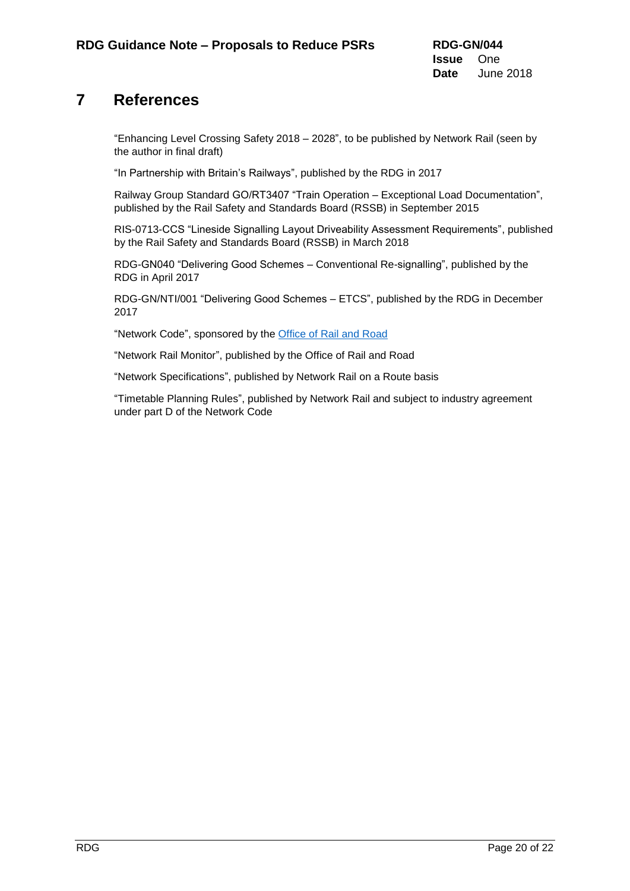## <span id="page-19-0"></span>**7 References**

"Enhancing Level Crossing Safety 2018 – 2028", to be published by Network Rail (seen by the author in final draft)

"In Partnership with Britain's Railways", published by the RDG in 2017

Railway Group Standard GO/RT3407 "Train Operation – Exceptional Load Documentation", published by the Rail Safety and Standards Board (RSSB) in September 2015

RIS-0713-CCS "Lineside Signalling Layout Driveability Assessment Requirements", published by the Rail Safety and Standards Board (RSSB) in March 2018

RDG-GN040 "Delivering Good Schemes – Conventional Re-signalling", published by the RDG in April 2017

RDG-GN/NTI/001 "Delivering Good Schemes – ETCS", published by the RDG in December 2017

"Network Code", sponsored by the [Office of Rail and Road](http://orr.gov.uk/rail/access-to-the-network/the-network-code)

"Network Rail Monitor", published by the Office of Rail and Road

"Network Specifications", published by Network Rail on a Route basis

"Timetable Planning Rules", published by Network Rail and subject to industry agreement under part D of the Network Code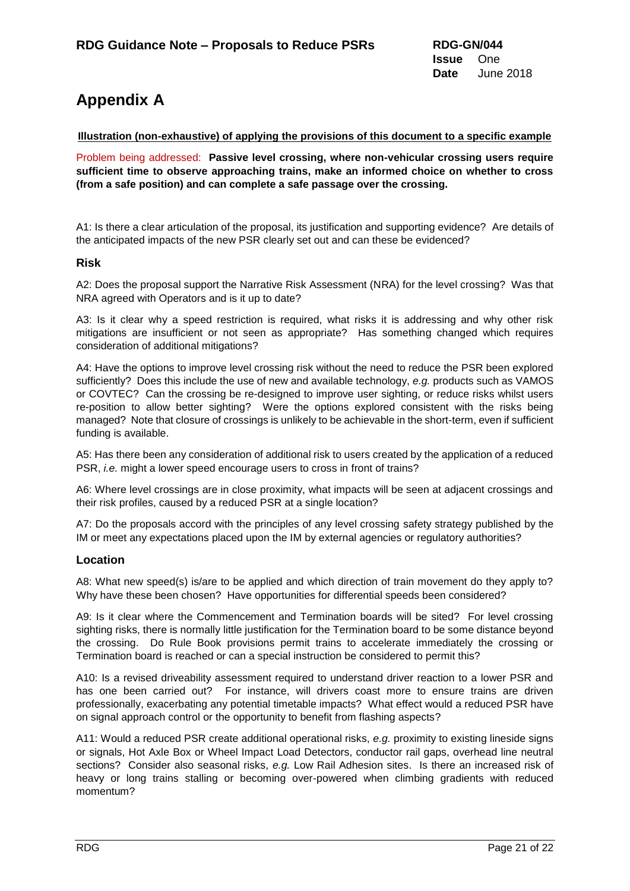# <span id="page-20-0"></span>**Appendix A**

### **Illustration (non-exhaustive) of applying the provisions of this document to a specific example**

Problem being addressed: **Passive level crossing, where non-vehicular crossing users require sufficient time to observe approaching trains, make an informed choice on whether to cross (from a safe position) and can complete a safe passage over the crossing.**

A1: Is there a clear articulation of the proposal, its justification and supporting evidence? Are details of the anticipated impacts of the new PSR clearly set out and can these be evidenced?

### **Risk**

A2: Does the proposal support the Narrative Risk Assessment (NRA) for the level crossing? Was that NRA agreed with Operators and is it up to date?

A3: Is it clear why a speed restriction is required, what risks it is addressing and why other risk mitigations are insufficient or not seen as appropriate? Has something changed which requires consideration of additional mitigations?

A4: Have the options to improve level crossing risk without the need to reduce the PSR been explored sufficiently? Does this include the use of new and available technology, *e.g.* products such as VAMOS or COVTEC? Can the crossing be re-designed to improve user sighting, or reduce risks whilst users re-position to allow better sighting? Were the options explored consistent with the risks being managed? Note that closure of crossings is unlikely to be achievable in the short-term, even if sufficient funding is available.

A5: Has there been any consideration of additional risk to users created by the application of a reduced PSR, *i.e.* might a lower speed encourage users to cross in front of trains?

A6: Where level crossings are in close proximity, what impacts will be seen at adjacent crossings and their risk profiles, caused by a reduced PSR at a single location?

A7: Do the proposals accord with the principles of any level crossing safety strategy published by the IM or meet any expectations placed upon the IM by external agencies or regulatory authorities?

### **Location**

A8: What new speed(s) is/are to be applied and which direction of train movement do they apply to? Why have these been chosen? Have opportunities for differential speeds been considered?

A9: Is it clear where the Commencement and Termination boards will be sited? For level crossing sighting risks, there is normally little justification for the Termination board to be some distance beyond the crossing. Do Rule Book provisions permit trains to accelerate immediately the crossing or Termination board is reached or can a special instruction be considered to permit this?

A10: Is a revised driveability assessment required to understand driver reaction to a lower PSR and has one been carried out? For instance, will drivers coast more to ensure trains are driven professionally, exacerbating any potential timetable impacts? What effect would a reduced PSR have on signal approach control or the opportunity to benefit from flashing aspects?

A11: Would a reduced PSR create additional operational risks, *e.g.* proximity to existing lineside signs or signals, Hot Axle Box or Wheel Impact Load Detectors, conductor rail gaps, overhead line neutral sections? Consider also seasonal risks, *e.g.* Low Rail Adhesion sites. Is there an increased risk of heavy or long trains stalling or becoming over-powered when climbing gradients with reduced momentum?